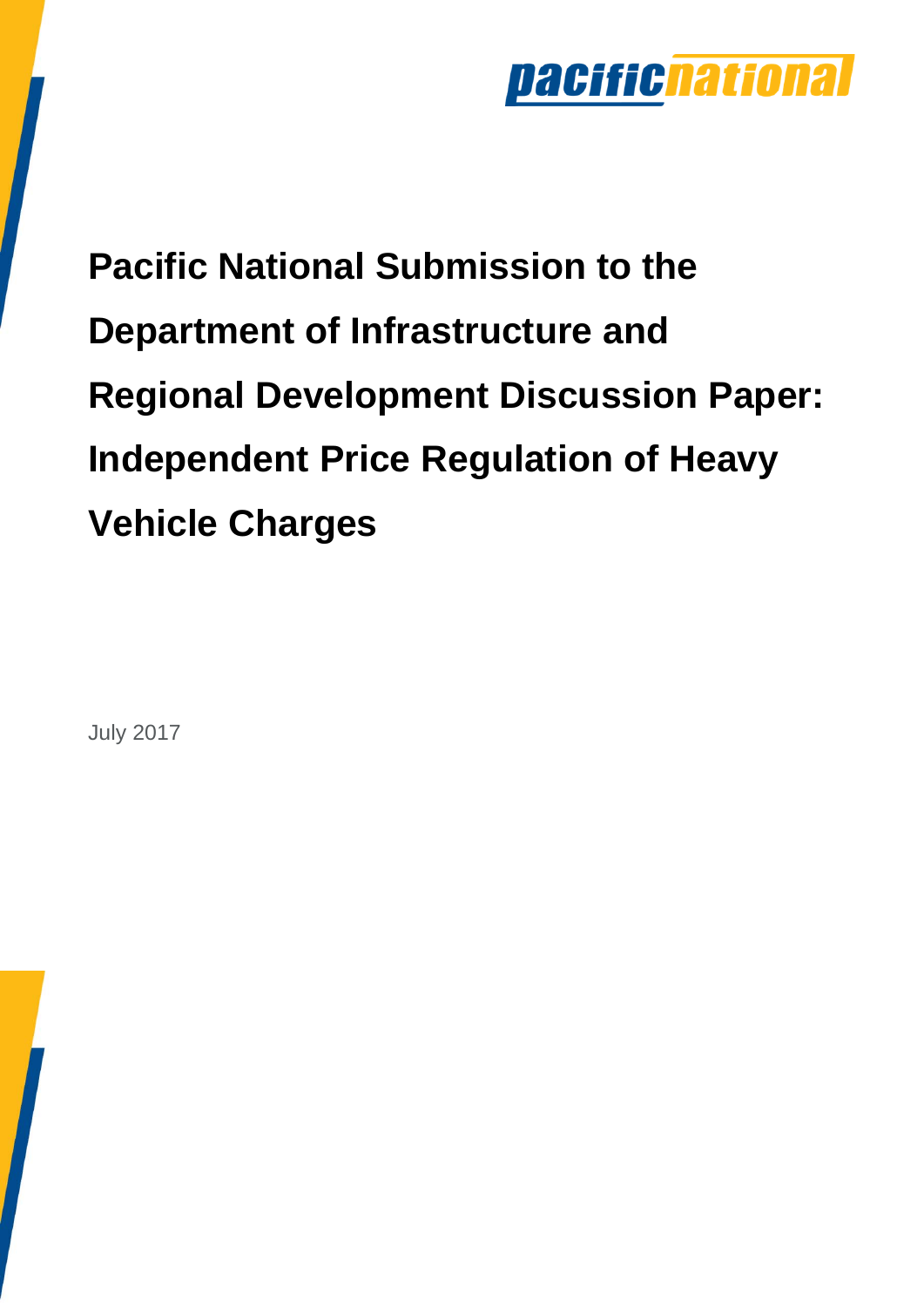

**Pacific National Submission to the Department of Infrastructure and Regional Development Discussion Paper: Independent Price Regulation of Heavy Vehicle Charges** 

July 2017

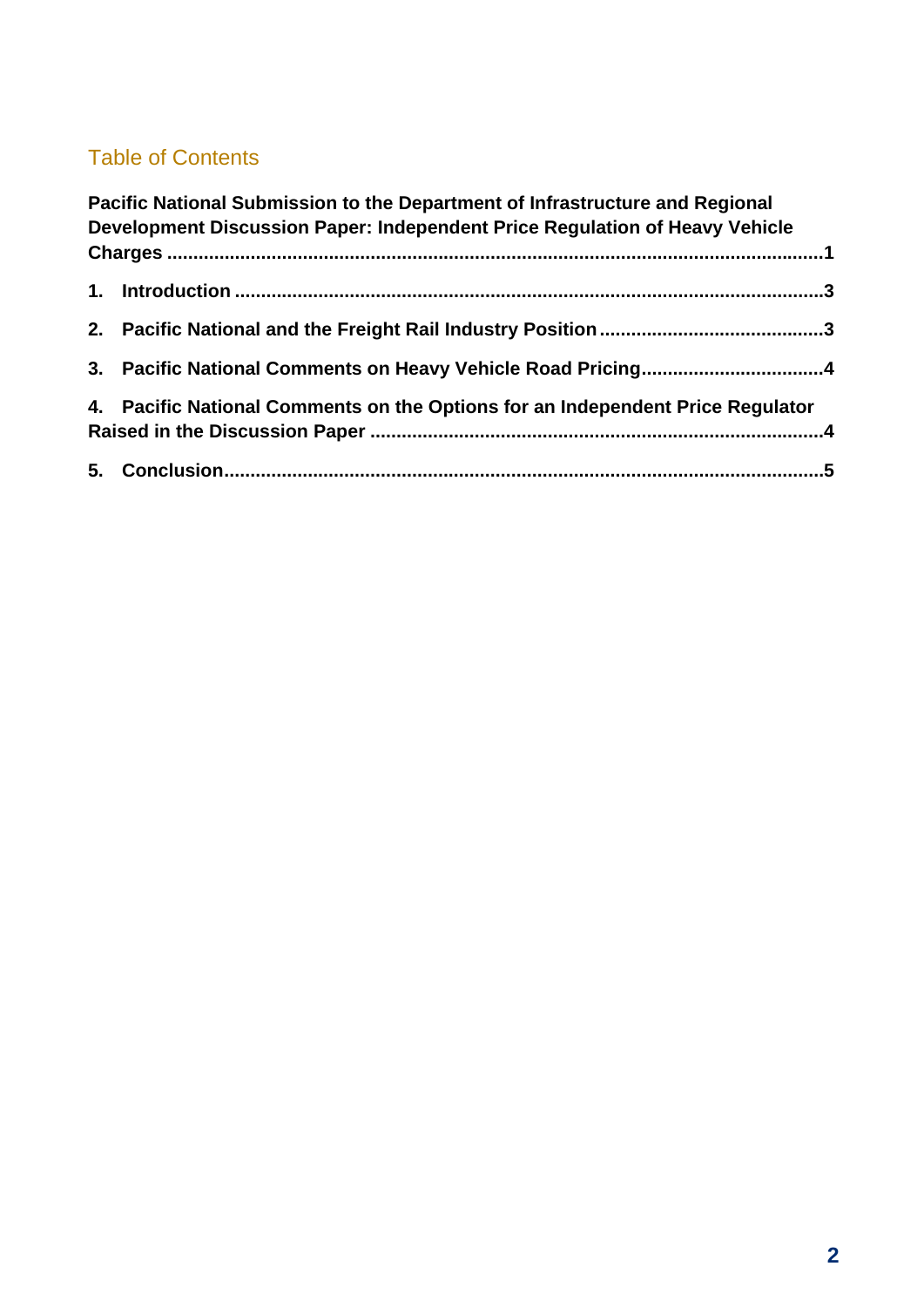#### Table of Contents

| Pacific National Submission to the Department of Infrastructure and Regional<br>Development Discussion Paper: Independent Price Regulation of Heavy Vehicle |  |
|-------------------------------------------------------------------------------------------------------------------------------------------------------------|--|
|                                                                                                                                                             |  |
|                                                                                                                                                             |  |
|                                                                                                                                                             |  |
|                                                                                                                                                             |  |
| 4. Pacific National Comments on the Options for an Independent Price Regulator                                                                              |  |
|                                                                                                                                                             |  |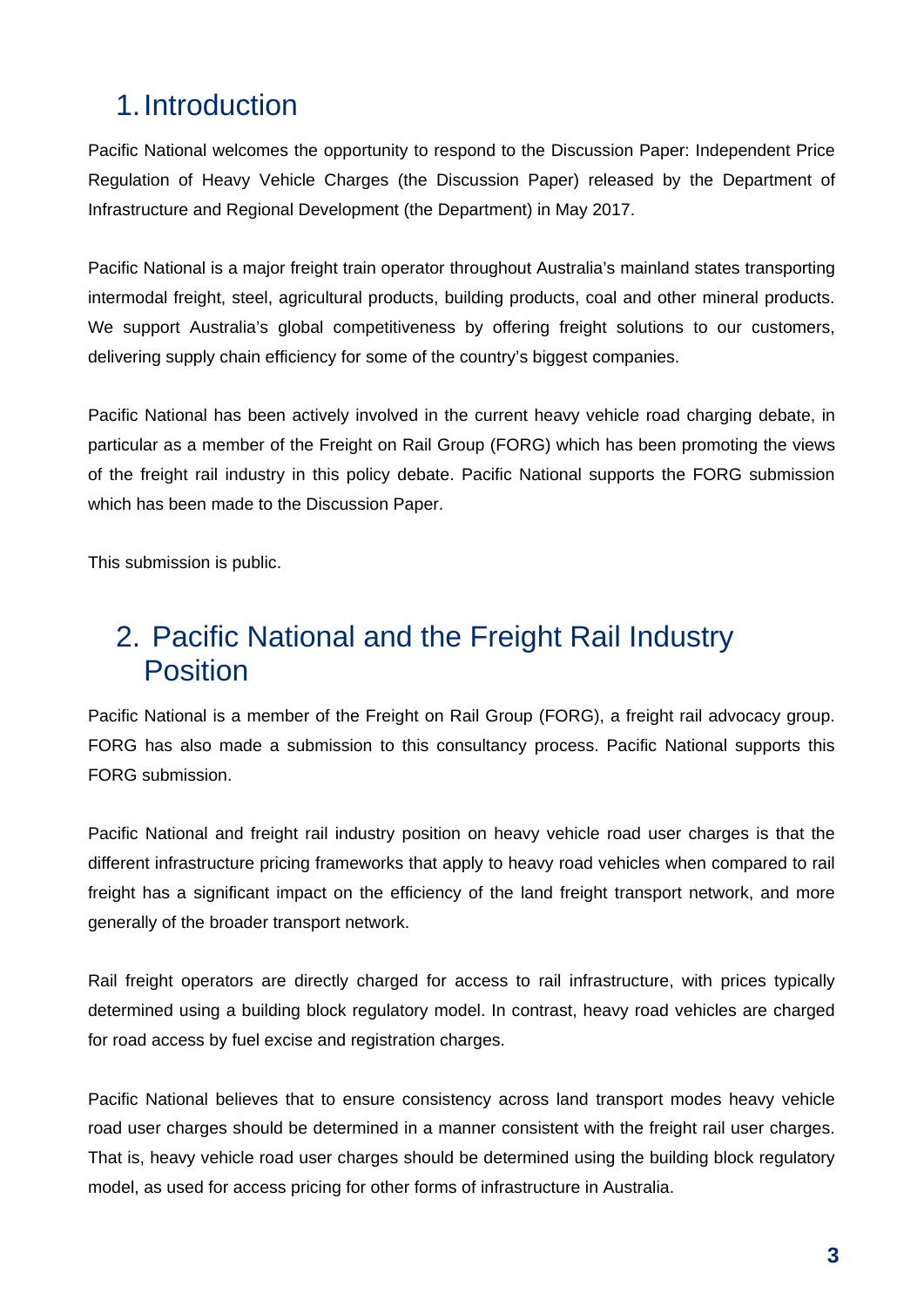# 1. Introduction

Pacific National welcomes the opportunity to respond to the Discussion Paper: Independent Price Regulation of Heavy Vehicle Charges (the Discussion Paper) released by the Department of Infrastructure and Regional Development (the Department) in May 2017.

Pacific National is a major freight train operator throughout Australia's mainland states transporting intermodal freight, steel, agricultural products, building products, coal and other mineral products. We support Australia's global competitiveness by offering freight solutions to our customers, delivering supply chain efficiency for some of the country's biggest companies.

Pacific National has been actively involved in the current heavy vehicle road charging debate, in particular as a member of the Freight on Rail Group (FORG) which has been promoting the views of the freight rail industry in this policy debate. Pacific National supports the FORG submission which has been made to the Discussion Paper.

This submission is public.

# 2. Pacific National and the Freight Rail Industry Position

Pacific National is a member of the Freight on Rail Group (FORG), a freight rail advocacy group. FORG has also made a submission to this consultancy process. Pacific National supports this FORG submission.

Pacific National and freight rail industry position on heavy vehicle road user charges is that the different infrastructure pricing frameworks that apply to heavy road vehicles when compared to rail freight has a significant impact on the efficiency of the land freight transport network, and more generally of the broader transport network.

Rail freight operators are directly charged for access to rail infrastructure, with prices typically determined using a building block regulatory model. In contrast, heavy road vehicles are charged for road access by fuel excise and registration charges.

Pacific National believes that to ensure consistency across land transport modes heavy vehicle road user charges should be determined in a manner consistent with the freight rail user charges. That is, heavy vehicle road user charges should be determined using the building block regulatory model, as used for access pricing for other forms of infrastructure in Australia.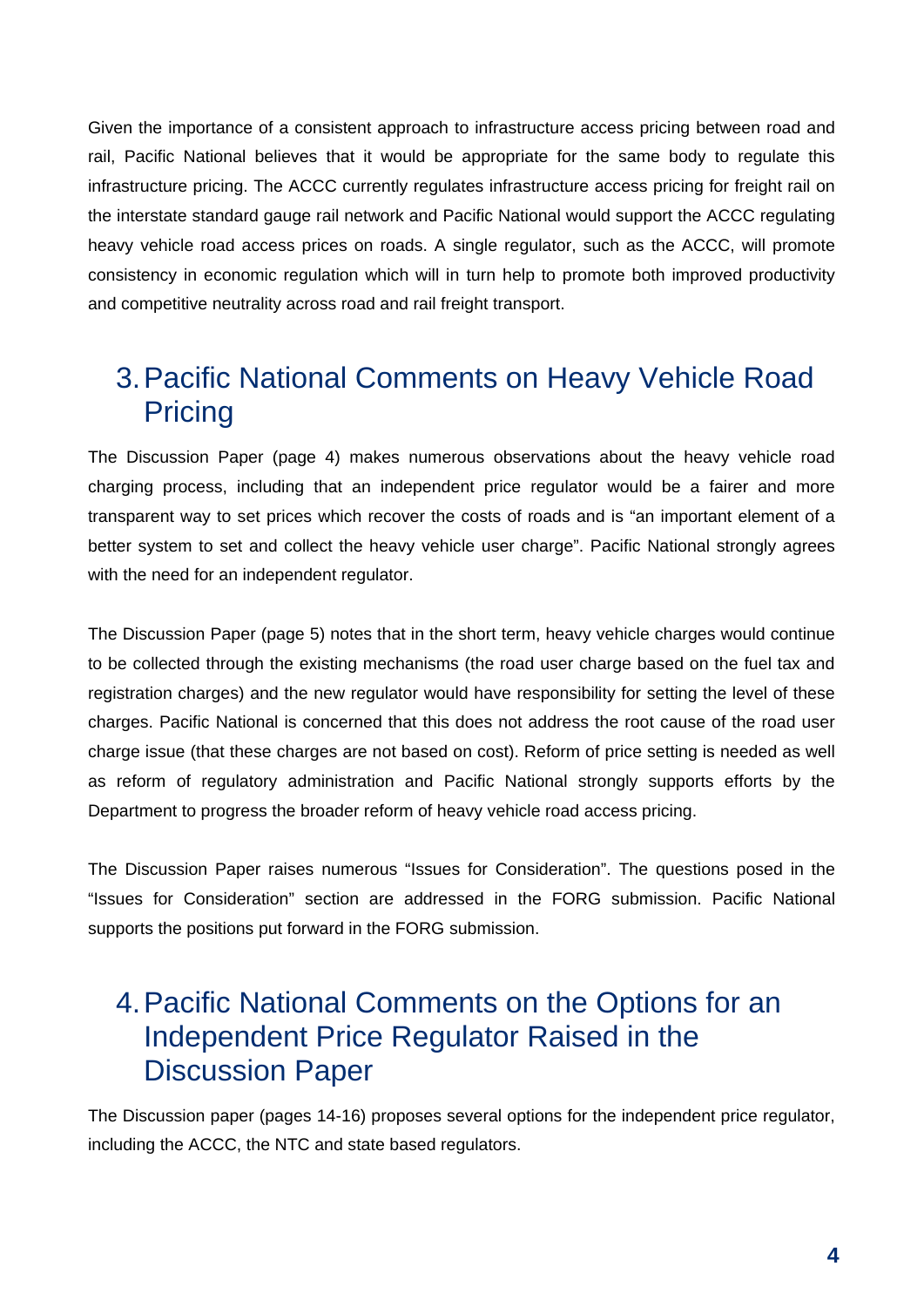Given the importance of a consistent approach to infrastructure access pricing between road and rail, Pacific National believes that it would be appropriate for the same body to regulate this infrastructure pricing. The ACCC currently regulates infrastructure access pricing for freight rail on the interstate standard gauge rail network and Pacific National would support the ACCC regulating heavy vehicle road access prices on roads. A single regulator, such as the ACCC, will promote consistency in economic regulation which will in turn help to promote both improved productivity and competitive neutrality across road and rail freight transport.

# 3. Pacific National Comments on Heavy Vehicle Road **Pricing**

The Discussion Paper (page 4) makes numerous observations about the heavy vehicle road charging process, including that an independent price regulator would be a fairer and more transparent way to set prices which recover the costs of roads and is "an important element of a better system to set and collect the heavy vehicle user charge". Pacific National strongly agrees with the need for an independent regulator.

The Discussion Paper (page 5) notes that in the short term, heavy vehicle charges would continue to be collected through the existing mechanisms (the road user charge based on the fuel tax and registration charges) and the new regulator would have responsibility for setting the level of these charges. Pacific National is concerned that this does not address the root cause of the road user charge issue (that these charges are not based on cost). Reform of price setting is needed as well as reform of regulatory administration and Pacific National strongly supports efforts by the Department to progress the broader reform of heavy vehicle road access pricing.

The Discussion Paper raises numerous "Issues for Consideration". The questions posed in the "Issues for Consideration" section are addressed in the FORG submission. Pacific National supports the positions put forward in the FORG submission.

# 4. Pacific National Comments on the Options for an Independent Price Regulator Raised in the Discussion Paper

The Discussion paper (pages 14-16) proposes several options for the independent price regulator, including the ACCC, the NTC and state based regulators.